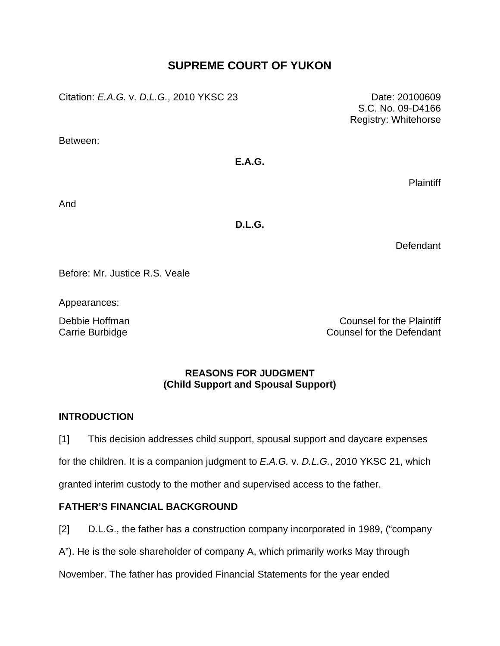# **SUPREME COURT OF YUKON**

Citation: *E.A.G.* v. *D.L.G.*, 2010 YKSC 23 Date: 20100609

Between:

## **E.A.G.**

**Plaintiff** 

S.C. No. 09-D4166 Registry: Whitehorse

And

**D.L.G.** 

Defendant

Before: Mr. Justice R.S. Veale

Appearances:

Debbie Hoffman **Counsel for the Plaintiff** Carrie Burbidge Carrie Burbidge Counsel for the Defendant

## **REASONS FOR JUDGMENT (Child Support and Spousal Support)**

# **INTRODUCTION**

[1] This decision addresses child support, spousal support and daycare expenses

for the children. It is a companion judgment to *E.A.G.* v. *D.L.G.*, 2010 YKSC 21, which

granted interim custody to the mother and supervised access to the father.

# **FATHER'S FINANCIAL BACKGROUND**

[2] D.L.G., the father has a construction company incorporated in 1989, ("company

A"). He is the sole shareholder of company A, which primarily works May through

November. The father has provided Financial Statements for the year ended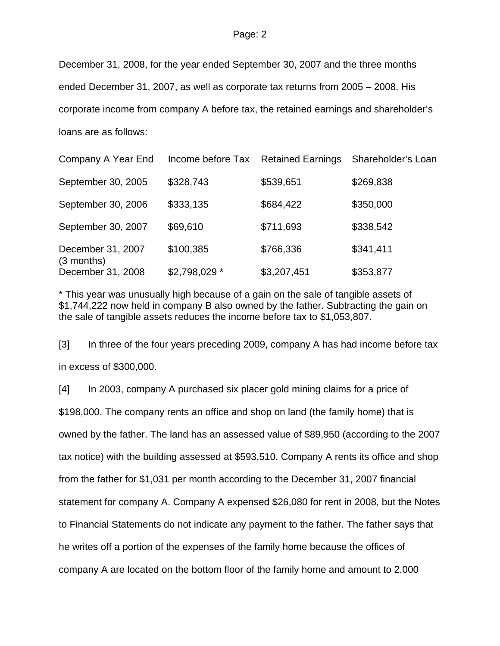December 31, 2008, for the year ended September 30, 2007 and the three months ended December 31, 2007, as well as corporate tax returns from 2005 – 2008. His corporate income from company A before tax, the retained earnings and shareholder's loans are as follows:

| Company A Year End                | Income before Tax | <b>Retained Earnings</b> | Shareholder's Loan |
|-----------------------------------|-------------------|--------------------------|--------------------|
| September 30, 2005                | \$328,743         | \$539,651                | \$269,838          |
| September 30, 2006                | \$333,135         | \$684,422                | \$350,000          |
| September 30, 2007                | \$69,610          | \$711,693                | \$338,542          |
| December 31, 2007<br>$(3$ months) | \$100,385         | \$766,336                | \$341,411          |
| December 31, 2008                 | \$2,798,029 *     | \$3,207,451              | \$353,877          |

\* This year was unusually high because of a gain on the sale of tangible assets of \$1,744,222 now held in company B also owned by the father. Subtracting the gain on the sale of tangible assets reduces the income before tax to \$1,053,807.

[3] In three of the four years preceding 2009, company A has had income before tax in excess of \$300,000.

[4] In 2003, company A purchased six placer gold mining claims for a price of \$198,000. The company rents an office and shop on land (the family home) that is owned by the father. The land has an assessed value of \$89,950 (according to the 2007 tax notice) with the building assessed at \$593,510. Company A rents its office and shop from the father for \$1,031 per month according to the December 31, 2007 financial statement for company A. Company A expensed \$26,080 for rent in 2008, but the Notes to Financial Statements do not indicate any payment to the father. The father says that he writes off a portion of the expenses of the family home because the offices of company A are located on the bottom floor of the family home and amount to 2,000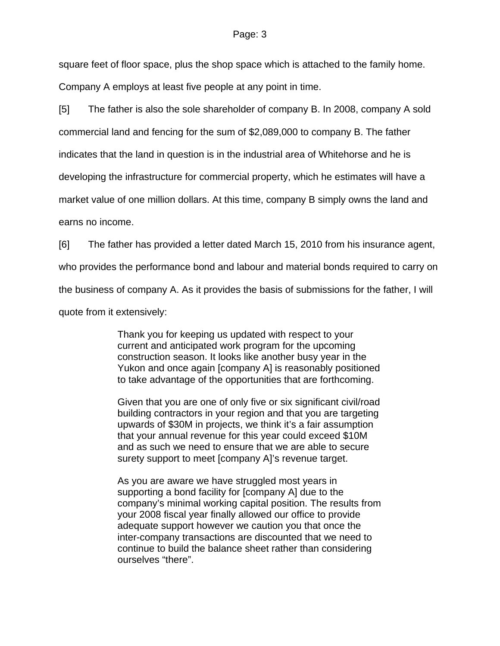square feet of floor space, plus the shop space which is attached to the family home. Company A employs at least five people at any point in time.

[5] The father is also the sole shareholder of company B. In 2008, company A sold commercial land and fencing for the sum of \$2,089,000 to company B. The father indicates that the land in question is in the industrial area of Whitehorse and he is developing the infrastructure for commercial property, which he estimates will have a market value of one million dollars. At this time, company B simply owns the land and earns no income.

[6] The father has provided a letter dated March 15, 2010 from his insurance agent,

who provides the performance bond and labour and material bonds required to carry on

the business of company A. As it provides the basis of submissions for the father, I will

quote from it extensively:

Thank you for keeping us updated with respect to your current and anticipated work program for the upcoming construction season. It looks like another busy year in the Yukon and once again [company A] is reasonably positioned to take advantage of the opportunities that are forthcoming.

Given that you are one of only five or six significant civil/road building contractors in your region and that you are targeting upwards of \$30M in projects, we think it's a fair assumption that your annual revenue for this year could exceed \$10M and as such we need to ensure that we are able to secure surety support to meet [company A]'s revenue target.

As you are aware we have struggled most years in supporting a bond facility for [company A] due to the company's minimal working capital position. The results from your 2008 fiscal year finally allowed our office to provide adequate support however we caution you that once the inter-company transactions are discounted that we need to continue to build the balance sheet rather than considering ourselves "there".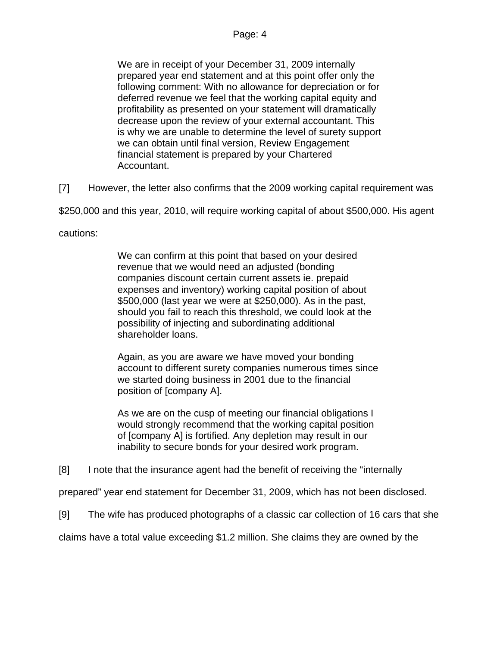We are in receipt of your December 31, 2009 internally prepared year end statement and at this point offer only the following comment: With no allowance for depreciation or for deferred revenue we feel that the working capital equity and profitability as presented on your statement will dramatically decrease upon the review of your external accountant. This is why we are unable to determine the level of surety support we can obtain until final version, Review Engagement financial statement is prepared by your Chartered Accountant.

[7] However, the letter also confirms that the 2009 working capital requirement was

\$250,000 and this year, 2010, will require working capital of about \$500,000. His agent

cautions:

We can confirm at this point that based on your desired revenue that we would need an adjusted (bonding companies discount certain current assets ie. prepaid expenses and inventory) working capital position of about \$500,000 (last year we were at \$250,000). As in the past, should you fail to reach this threshold, we could look at the possibility of injecting and subordinating additional shareholder loans.

Again, as you are aware we have moved your bonding account to different surety companies numerous times since we started doing business in 2001 due to the financial position of [company A].

As we are on the cusp of meeting our financial obligations I would strongly recommend that the working capital position of [company A] is fortified. Any depletion may result in our inability to secure bonds for your desired work program.

[8] I note that the insurance agent had the benefit of receiving the "internally

prepared" year end statement for December 31, 2009, which has not been disclosed.

[9] The wife has produced photographs of a classic car collection of 16 cars that she

claims have a total value exceeding \$1.2 million. She claims they are owned by the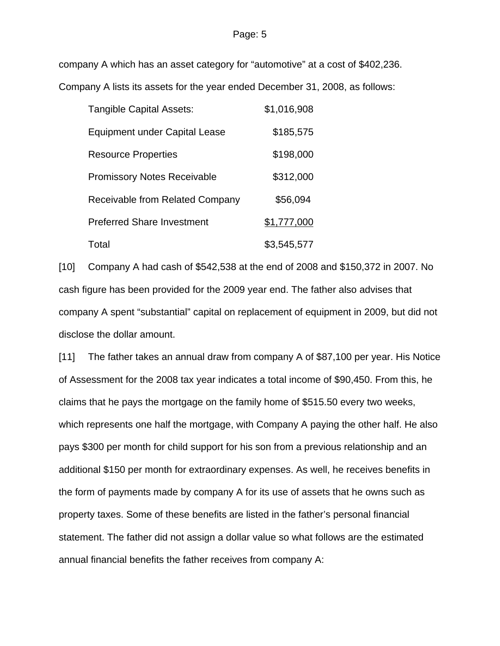company A which has an asset category for "automotive" at a cost of \$402,236.

Company A lists its assets for the year ended December 31, 2008, as follows:

| <b>Tangible Capital Assets:</b>        | \$1,016,908 |
|----------------------------------------|-------------|
| <b>Equipment under Capital Lease</b>   | \$185,575   |
| <b>Resource Properties</b>             | \$198,000   |
| <b>Promissory Notes Receivable</b>     | \$312,000   |
| <b>Receivable from Related Company</b> | \$56,094    |
| <b>Preferred Share Investment</b>      | \$1,777,000 |
| Total                                  | \$3,545,577 |

[10] Company A had cash of \$542,538 at the end of 2008 and \$150,372 in 2007. No cash figure has been provided for the 2009 year end. The father also advises that company A spent "substantial" capital on replacement of equipment in 2009, but did not disclose the dollar amount.

[11] The father takes an annual draw from company A of \$87,100 per year. His Notice of Assessment for the 2008 tax year indicates a total income of \$90,450. From this, he claims that he pays the mortgage on the family home of \$515.50 every two weeks, which represents one half the mortgage, with Company A paying the other half. He also pays \$300 per month for child support for his son from a previous relationship and an additional \$150 per month for extraordinary expenses. As well, he receives benefits in the form of payments made by company A for its use of assets that he owns such as property taxes. Some of these benefits are listed in the father's personal financial statement. The father did not assign a dollar value so what follows are the estimated annual financial benefits the father receives from company A: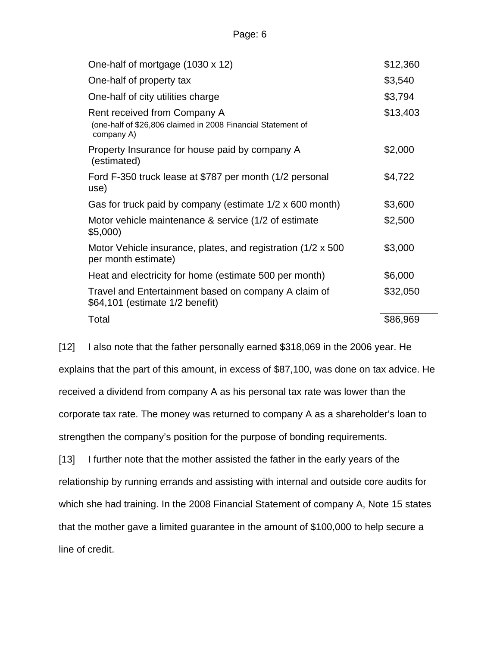| One-half of mortgage (1030 x 12)                                                                           | \$12,360 |
|------------------------------------------------------------------------------------------------------------|----------|
| One-half of property tax                                                                                   | \$3,540  |
| One-half of city utilities charge                                                                          | \$3,794  |
| Rent received from Company A<br>(one-half of \$26,806 claimed in 2008 Financial Statement of<br>company A) | \$13,403 |
| Property Insurance for house paid by company A<br>(estimated)                                              | \$2,000  |
| Ford F-350 truck lease at \$787 per month (1/2 personal<br>use)                                            | \$4,722  |
| Gas for truck paid by company (estimate 1/2 x 600 month)                                                   | \$3,600  |
| Motor vehicle maintenance & service (1/2 of estimate<br>\$5,000)                                           | \$2,500  |
| Motor Vehicle insurance, plates, and registration (1/2 x 500<br>per month estimate)                        | \$3,000  |
| Heat and electricity for home (estimate 500 per month)                                                     | \$6,000  |
| Travel and Entertainment based on company A claim of<br>\$64,101 (estimate 1/2 benefit)                    | \$32,050 |
| Total                                                                                                      | \$86,969 |

[12] I also note that the father personally earned \$318,069 in the 2006 year. He explains that the part of this amount, in excess of \$87,100, was done on tax advice. He received a dividend from company A as his personal tax rate was lower than the corporate tax rate. The money was returned to company A as a shareholder's loan to strengthen the company's position for the purpose of bonding requirements.

[13] I further note that the mother assisted the father in the early years of the relationship by running errands and assisting with internal and outside core audits for which she had training. In the 2008 Financial Statement of company A, Note 15 states that the mother gave a limited guarantee in the amount of \$100,000 to help secure a line of credit.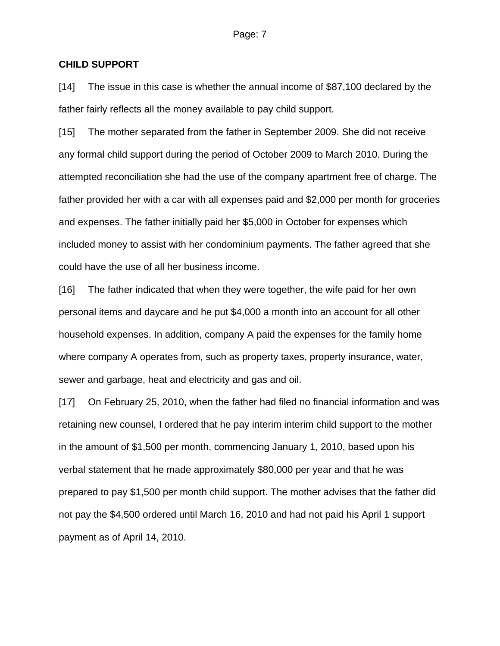### **CHILD SUPPORT**

[14] The issue in this case is whether the annual income of \$87,100 declared by the father fairly reflects all the money available to pay child support.

[15] The mother separated from the father in September 2009. She did not receive any formal child support during the period of October 2009 to March 2010. During the attempted reconciliation she had the use of the company apartment free of charge. The father provided her with a car with all expenses paid and \$2,000 per month for groceries and expenses. The father initially paid her \$5,000 in October for expenses which included money to assist with her condominium payments. The father agreed that she could have the use of all her business income.

[16] The father indicated that when they were together, the wife paid for her own personal items and daycare and he put \$4,000 a month into an account for all other household expenses. In addition, company A paid the expenses for the family home where company A operates from, such as property taxes, property insurance, water, sewer and garbage, heat and electricity and gas and oil.

[17] On February 25, 2010, when the father had filed no financial information and was retaining new counsel, I ordered that he pay interim interim child support to the mother in the amount of \$1,500 per month, commencing January 1, 2010, based upon his verbal statement that he made approximately \$80,000 per year and that he was prepared to pay \$1,500 per month child support. The mother advises that the father did not pay the \$4,500 ordered until March 16, 2010 and had not paid his April 1 support payment as of April 14, 2010.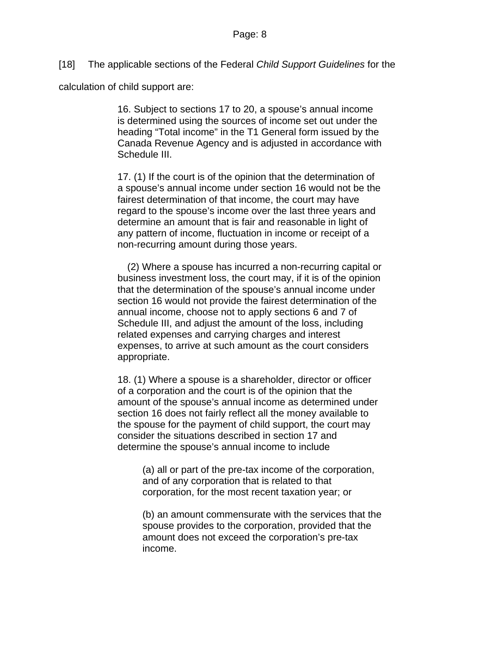[18] The applicable sections of the Federal *Child Support Guidelines* for the

calculation of child support are:

16. Subject to sections 17 to 20, a spouse's annual income is determined using the sources of income set out under the heading "Total income" in the T1 General form issued by the Canada Revenue Agency and is adjusted in accordance with Schedule III.

17. (1) If the court is of the opinion that the determination of a spouse's annual income under section 16 would not be the fairest determination of that income, the court may have regard to the spouse's income over the last three years and determine an amount that is fair and reasonable in light of any pattern of income, fluctuation in income or receipt of a non-recurring amount during those years.

(2) Where a spouse has incurred a non-recurring capital or business investment loss, the court may, if it is of the opinion that the determination of the spouse's annual income under section 16 would not provide the fairest determination of the annual income, choose not to apply sections 6 and 7 of Schedule III, and adjust the amount of the loss, including related expenses and carrying charges and interest expenses, to arrive at such amount as the court considers appropriate.

18. (1) Where a spouse is a shareholder, director or officer of a corporation and the court is of the opinion that the amount of the spouse's annual income as determined under section 16 does not fairly reflect all the money available to the spouse for the payment of child support, the court may consider the situations described in section 17 and determine the spouse's annual income to include

(a) all or part of the pre-tax income of the corporation, and of any corporation that is related to that corporation, for the most recent taxation year; or

(b) an amount commensurate with the services that the spouse provides to the corporation, provided that the amount does not exceed the corporation's pre-tax income.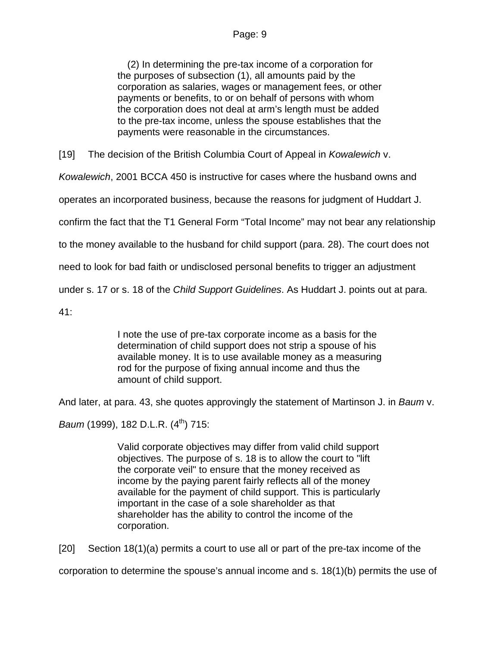(2) In determining the pre-tax income of a corporation for the purposes of subsection (1), all amounts paid by the corporation as salaries, wages or management fees, or other payments or benefits, to or on behalf of persons with whom the corporation does not deal at arm's length must be added to the pre-tax income, unless the spouse establishes that the payments were reasonable in the circumstances.

[19] The decision of the British Columbia Court of Appeal in *Kowalewich* v.

*Kowalewich*, 2001 BCCA 450 is instructive for cases where the husband owns and

operates an incorporated business, because the reasons for judgment of Huddart J.

confirm the fact that the T1 General Form "Total Income" may not bear any relationship

to the money available to the husband for child support (para. 28). The court does not

need to look for bad faith or undisclosed personal benefits to trigger an adjustment

under s. 17 or s. 18 of the *Child Support Guidelines*. As Huddart J. points out at para.

41:

I note the use of pre-tax corporate income as a basis for the determination of child support does not strip a spouse of his available money. It is to use available money as a measuring rod for the purpose of fixing annual income and thus the amount of child support.

And later, at para. 43, she quotes approvingly the statement of Martinson J. in *Baum* v.

*Baum* (1999), 182 D.L.R. (4<sup>th</sup>) 715:

Valid corporate objectives may differ from valid child support objectives. The purpose of s. 18 is to allow the court to "lift the corporate veil" to ensure that the money received as income by the paying parent fairly reflects all of the money available for the payment of child support. This is particularly important in the case of a sole shareholder as that shareholder has the ability to control the income of the corporation.

[20] Section 18(1)(a) permits a court to use all or part of the pre-tax income of the

corporation to determine the spouse's annual income and s. 18(1)(b) permits the use of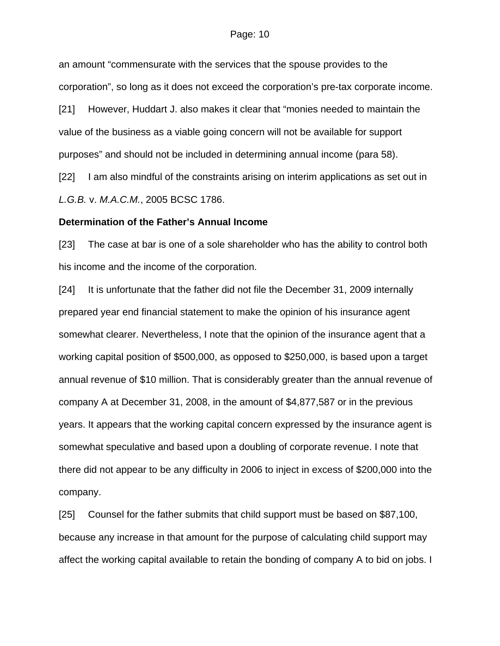an amount "commensurate with the services that the spouse provides to the corporation", so long as it does not exceed the corporation's pre-tax corporate income.

[21] However, Huddart J. also makes it clear that "monies needed to maintain the value of the business as a viable going concern will not be available for support purposes" and should not be included in determining annual income (para 58).

[22] I am also mindful of the constraints arising on interim applications as set out in *L.G.B.* v. *M.A.C.M.*, 2005 BCSC 1786.

#### **Determination of the Father's Annual Income**

[23] The case at bar is one of a sole shareholder who has the ability to control both his income and the income of the corporation.

[24] It is unfortunate that the father did not file the December 31, 2009 internally prepared year end financial statement to make the opinion of his insurance agent somewhat clearer. Nevertheless, I note that the opinion of the insurance agent that a working capital position of \$500,000, as opposed to \$250,000, is based upon a target annual revenue of \$10 million. That is considerably greater than the annual revenue of company A at December 31, 2008, in the amount of \$4,877,587 or in the previous years. It appears that the working capital concern expressed by the insurance agent is somewhat speculative and based upon a doubling of corporate revenue. I note that there did not appear to be any difficulty in 2006 to inject in excess of \$200,000 into the company.

[25] Counsel for the father submits that child support must be based on \$87,100, because any increase in that amount for the purpose of calculating child support may affect the working capital available to retain the bonding of company A to bid on jobs. I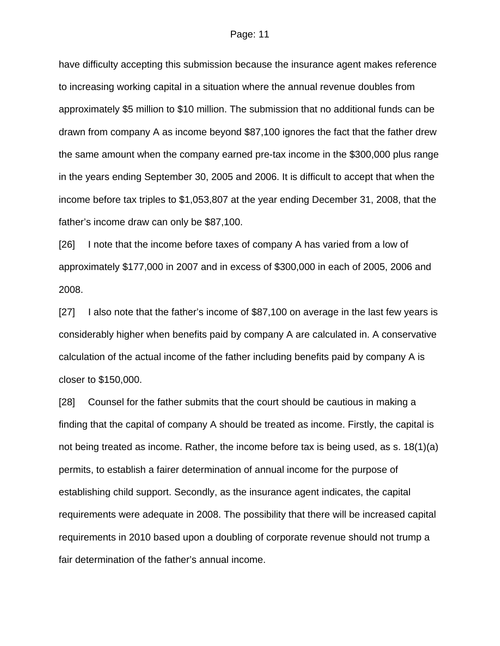have difficulty accepting this submission because the insurance agent makes reference to increasing working capital in a situation where the annual revenue doubles from approximately \$5 million to \$10 million. The submission that no additional funds can be drawn from company A as income beyond \$87,100 ignores the fact that the father drew the same amount when the company earned pre-tax income in the \$300,000 plus range in the years ending September 30, 2005 and 2006. It is difficult to accept that when the income before tax triples to \$1,053,807 at the year ending December 31, 2008, that the father's income draw can only be \$87,100.

[26] I note that the income before taxes of company A has varied from a low of approximately \$177,000 in 2007 and in excess of \$300,000 in each of 2005, 2006 and 2008.

[27] I also note that the father's income of \$87,100 on average in the last few years is considerably higher when benefits paid by company A are calculated in. A conservative calculation of the actual income of the father including benefits paid by company A is closer to \$150,000.

[28] Counsel for the father submits that the court should be cautious in making a finding that the capital of company A should be treated as income. Firstly, the capital is not being treated as income. Rather, the income before tax is being used, as s. 18(1)(a) permits, to establish a fairer determination of annual income for the purpose of establishing child support. Secondly, as the insurance agent indicates, the capital requirements were adequate in 2008. The possibility that there will be increased capital requirements in 2010 based upon a doubling of corporate revenue should not trump a fair determination of the father's annual income.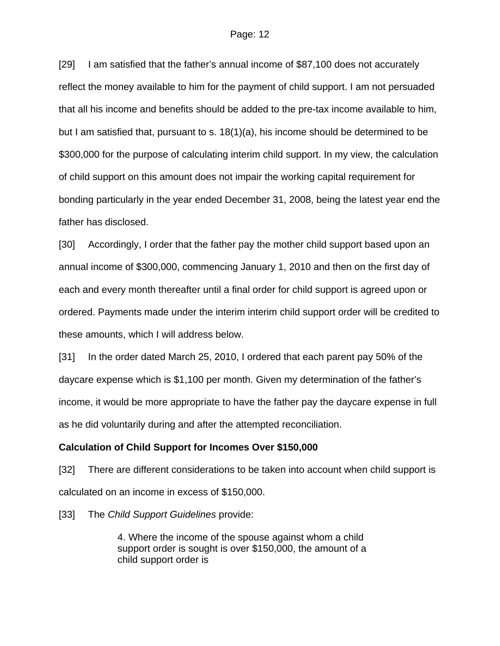[29] I am satisfied that the father's annual income of \$87,100 does not accurately reflect the money available to him for the payment of child support. I am not persuaded that all his income and benefits should be added to the pre-tax income available to him, but I am satisfied that, pursuant to s. 18(1)(a), his income should be determined to be \$300,000 for the purpose of calculating interim child support. In my view, the calculation of child support on this amount does not impair the working capital requirement for bonding particularly in the year ended December 31, 2008, being the latest year end the father has disclosed.

[30] Accordingly, I order that the father pay the mother child support based upon an annual income of \$300,000, commencing January 1, 2010 and then on the first day of each and every month thereafter until a final order for child support is agreed upon or ordered. Payments made under the interim interim child support order will be credited to these amounts, which I will address below.

[31] In the order dated March 25, 2010, I ordered that each parent pay 50% of the daycare expense which is \$1,100 per month. Given my determination of the father's income, it would be more appropriate to have the father pay the daycare expense in full as he did voluntarily during and after the attempted reconciliation.

### **Calculation of Child Support for Incomes Over \$150,000**

[32] There are different considerations to be taken into account when child support is calculated on an income in excess of \$150,000.

[33] The *Child Support Guidelines* provide:

4. Where the income of the spouse against whom a child support order is sought is over \$150,000, the amount of a child support order is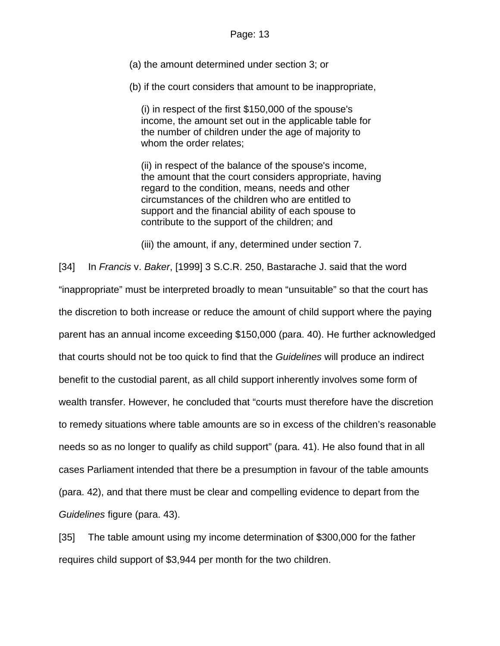(a) the amount determined under section 3; or

(b) if the court considers that amount to be inappropriate,

(i) in respect of the first \$150,000 of the spouse's income, the amount set out in the applicable table for the number of children under the age of majority to whom the order relates;

(ii) in respect of the balance of the spouse's income, the amount that the court considers appropriate, having regard to the condition, means, needs and other circumstances of the children who are entitled to support and the financial ability of each spouse to contribute to the support of the children; and

(iii) the amount, if any, determined under section 7.

[34] In *Francis* v. *Baker*, [1999] 3 S.C.R. 250, Bastarache J. said that the word "inappropriate" must be interpreted broadly to mean "unsuitable" so that the court has the discretion to both increase or reduce the amount of child support where the paying parent has an annual income exceeding \$150,000 (para. 40). He further acknowledged that courts should not be too quick to find that the *Guidelines* will produce an indirect benefit to the custodial parent, as all child support inherently involves some form of wealth transfer. However, he concluded that "courts must therefore have the discretion to remedy situations where table amounts are so in excess of the children's reasonable needs so as no longer to qualify as child support" (para. 41). He also found that in all cases Parliament intended that there be a presumption in favour of the table amounts (para. 42), and that there must be clear and compelling evidence to depart from the *Guidelines* figure (para. 43).

[35] The table amount using my income determination of \$300,000 for the father requires child support of \$3,944 per month for the two children.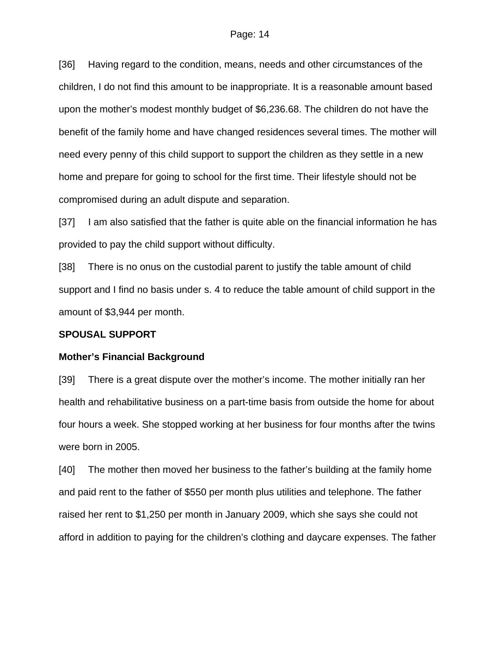[36] Having regard to the condition, means, needs and other circumstances of the children, I do not find this amount to be inappropriate. It is a reasonable amount based upon the mother's modest monthly budget of \$6,236.68. The children do not have the benefit of the family home and have changed residences several times. The mother will need every penny of this child support to support the children as they settle in a new home and prepare for going to school for the first time. Their lifestyle should not be compromised during an adult dispute and separation.

[37] I am also satisfied that the father is quite able on the financial information he has provided to pay the child support without difficulty.

[38] There is no onus on the custodial parent to justify the table amount of child support and I find no basis under s. 4 to reduce the table amount of child support in the amount of \$3,944 per month.

### **SPOUSAL SUPPORT**

#### **Mother's Financial Background**

[39] There is a great dispute over the mother's income. The mother initially ran her health and rehabilitative business on a part-time basis from outside the home for about four hours a week. She stopped working at her business for four months after the twins were born in 2005.

[40] The mother then moved her business to the father's building at the family home and paid rent to the father of \$550 per month plus utilities and telephone. The father raised her rent to \$1,250 per month in January 2009, which she says she could not afford in addition to paying for the children's clothing and daycare expenses. The father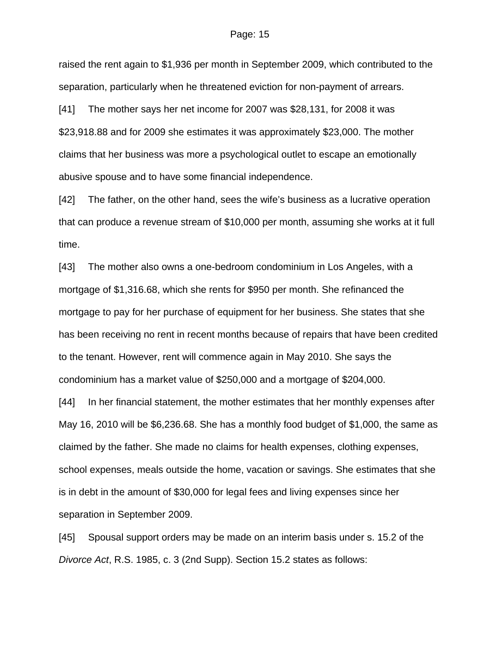raised the rent again to \$1,936 per month in September 2009, which contributed to the separation, particularly when he threatened eviction for non-payment of arrears.

[41] The mother says her net income for 2007 was \$28,131, for 2008 it was \$23,918.88 and for 2009 she estimates it was approximately \$23,000. The mother claims that her business was more a psychological outlet to escape an emotionally abusive spouse and to have some financial independence.

[42] The father, on the other hand, sees the wife's business as a lucrative operation that can produce a revenue stream of \$10,000 per month, assuming she works at it full time.

[43] The mother also owns a one-bedroom condominium in Los Angeles, with a mortgage of \$1,316.68, which she rents for \$950 per month. She refinanced the mortgage to pay for her purchase of equipment for her business. She states that she has been receiving no rent in recent months because of repairs that have been credited to the tenant. However, rent will commence again in May 2010. She says the condominium has a market value of \$250,000 and a mortgage of \$204,000.

[44] In her financial statement, the mother estimates that her monthly expenses after May 16, 2010 will be \$6,236.68. She has a monthly food budget of \$1,000, the same as claimed by the father. She made no claims for health expenses, clothing expenses, school expenses, meals outside the home, vacation or savings. She estimates that she is in debt in the amount of \$30,000 for legal fees and living expenses since her separation in September 2009.

[45] Spousal support orders may be made on an interim basis under s. 15.2 of the *Divorce Act*, R.S. 1985, c. 3 (2nd Supp). Section 15.2 states as follows: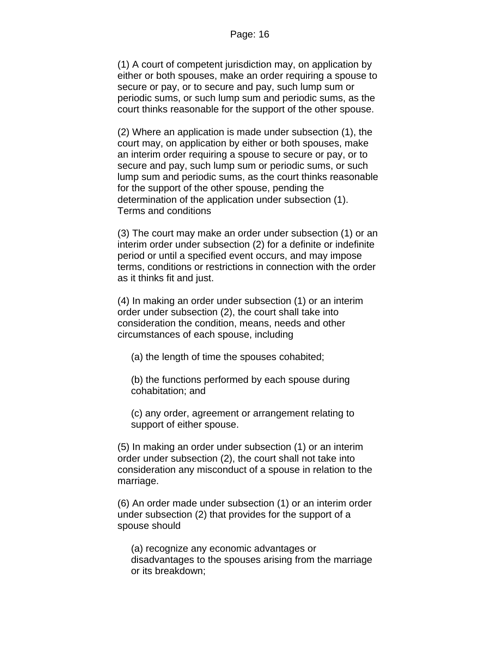(1) A court of competent jurisdiction may, on application by either or both spouses, make an order requiring a spouse to secure or pay, or to secure and pay, such lump sum or periodic sums, or such lump sum and periodic sums, as the court thinks reasonable for the support of the other spouse.

(2) Where an application is made under subsection (1), the court may, on application by either or both spouses, make an interim order requiring a spouse to secure or pay, or to secure and pay, such lump sum or periodic sums, or such lump sum and periodic sums, as the court thinks reasonable for the support of the other spouse, pending the determination of the application under subsection (1). Terms and conditions

(3) The court may make an order under subsection (1) or an interim order under subsection (2) for a definite or indefinite period or until a specified event occurs, and may impose terms, conditions or restrictions in connection with the order as it thinks fit and just.

(4) In making an order under subsection (1) or an interim order under subsection (2), the court shall take into consideration the condition, means, needs and other circumstances of each spouse, including

(a) the length of time the spouses cohabited;

(b) the functions performed by each spouse during cohabitation; and

(c) any order, agreement or arrangement relating to support of either spouse.

(5) In making an order under subsection (1) or an interim order under subsection (2), the court shall not take into consideration any misconduct of a spouse in relation to the marriage.

(6) An order made under subsection (1) or an interim order under subsection (2) that provides for the support of a spouse should

(a) recognize any economic advantages or disadvantages to the spouses arising from the marriage or its breakdown;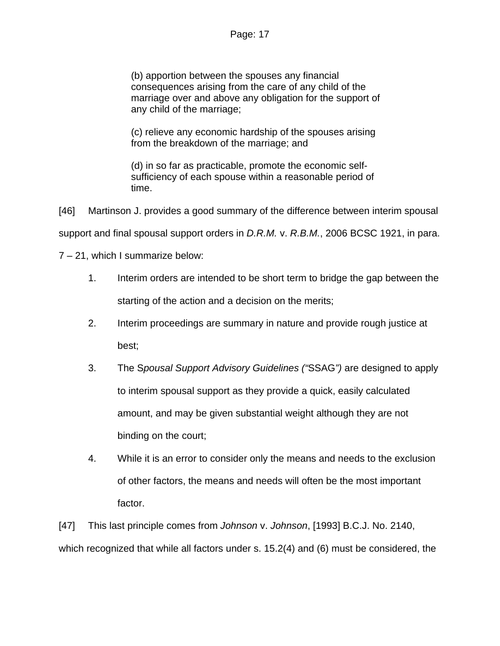(b) apportion between the spouses any financial consequences arising from the care of any child of the marriage over and above any obligation for the support of any child of the marriage;

(c) relieve any economic hardship of the spouses arising from the breakdown of the marriage; and

(d) in so far as practicable, promote the economic selfsufficiency of each spouse within a reasonable period of time.

[46] Martinson J. provides a good summary of the difference between interim spousal support and final spousal support orders in *D.R.M.* v. *R.B.M.*, 2006 BCSC 1921, in para.

7 – 21, which I summarize below:

- 1. Interim orders are intended to be short term to bridge the gap between the starting of the action and a decision on the merits;
- 2. Interim proceedings are summary in nature and provide rough justice at best;
- 3. The S*pousal Support Advisory Guidelines ("*SSAG*")* are designed to apply to interim spousal support as they provide a quick, easily calculated amount, and may be given substantial weight although they are not binding on the court;
- 4. While it is an error to consider only the means and needs to the exclusion of other factors, the means and needs will often be the most important factor.

[47] This last principle comes from *Johnson* v. *Johnson*, [1993] B.C.J. No. 2140, which recognized that while all factors under s. 15.2(4) and (6) must be considered, the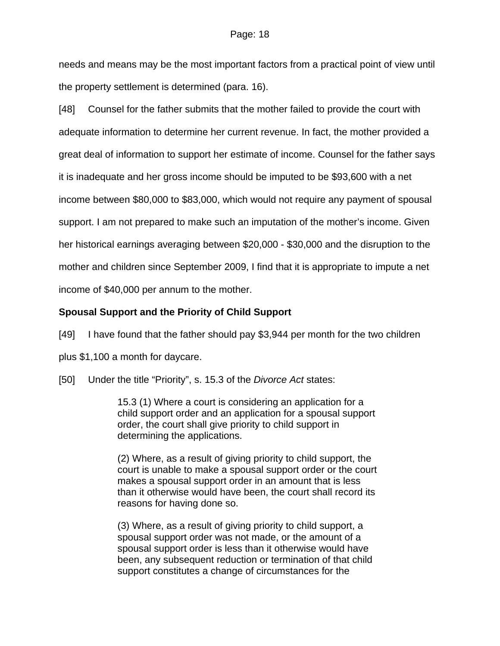needs and means may be the most important factors from a practical point of view until the property settlement is determined (para. 16).

[48] Counsel for the father submits that the mother failed to provide the court with adequate information to determine her current revenue. In fact, the mother provided a great deal of information to support her estimate of income. Counsel for the father says it is inadequate and her gross income should be imputed to be \$93,600 with a net income between \$80,000 to \$83,000, which would not require any payment of spousal support. I am not prepared to make such an imputation of the mother's income. Given her historical earnings averaging between \$20,000 - \$30,000 and the disruption to the mother and children since September 2009, I find that it is appropriate to impute a net income of \$40,000 per annum to the mother.

# **Spousal Support and the Priority of Child Support**

[49] I have found that the father should pay \$3,944 per month for the two children plus \$1,100 a month for daycare.

[50] Under the title "Priority", s. 15.3 of the *Divorce Act* states:

15.3 (1) Where a court is considering an application for a child support order and an application for a spousal support order, the court shall give priority to child support in determining the applications.

(2) Where, as a result of giving priority to child support, the court is unable to make a spousal support order or the court makes a spousal support order in an amount that is less than it otherwise would have been, the court shall record its reasons for having done so.

(3) Where, as a result of giving priority to child support, a spousal support order was not made, or the amount of a spousal support order is less than it otherwise would have been, any subsequent reduction or termination of that child support constitutes a change of circumstances for the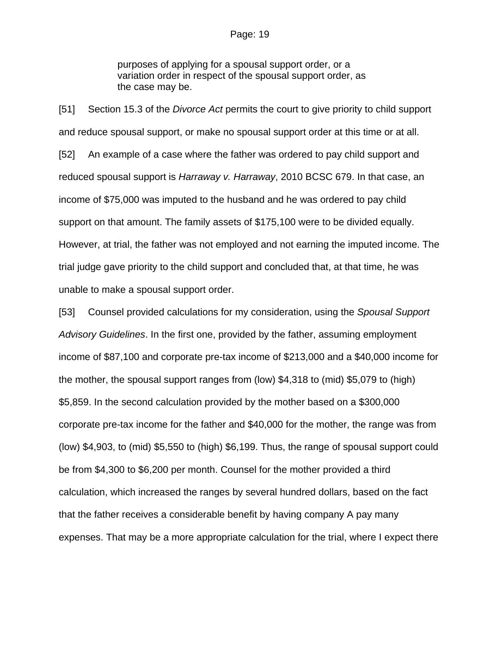purposes of applying for a spousal support order, or a variation order in respect of the spousal support order, as the case may be.

[51] Section 15.3 of the *Divorce Act* permits the court to give priority to child support and reduce spousal support, or make no spousal support order at this time or at all. [52] An example of a case where the father was ordered to pay child support and reduced spousal support is *Harraway v. Harraway*, 2010 BCSC 679. In that case, an income of \$75,000 was imputed to the husband and he was ordered to pay child support on that amount. The family assets of \$175,100 were to be divided equally. However, at trial, the father was not employed and not earning the imputed income. The trial judge gave priority to the child support and concluded that, at that time, he was unable to make a spousal support order.

[53] Counsel provided calculations for my consideration, using the *Spousal Support Advisory Guidelines*. In the first one, provided by the father, assuming employment income of \$87,100 and corporate pre-tax income of \$213,000 and a \$40,000 income for the mother, the spousal support ranges from (low) \$4,318 to (mid) \$5,079 to (high) \$5,859. In the second calculation provided by the mother based on a \$300,000 corporate pre-tax income for the father and \$40,000 for the mother, the range was from (low) \$4,903, to (mid) \$5,550 to (high) \$6,199. Thus, the range of spousal support could be from \$4,300 to \$6,200 per month. Counsel for the mother provided a third calculation, which increased the ranges by several hundred dollars, based on the fact that the father receives a considerable benefit by having company A pay many expenses. That may be a more appropriate calculation for the trial, where I expect there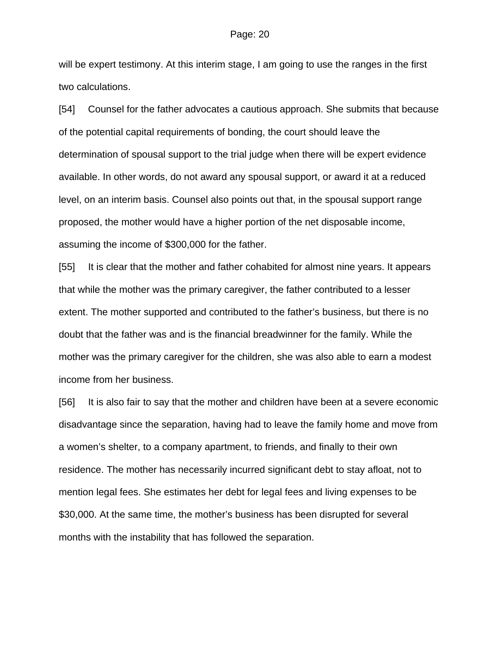will be expert testimony. At this interim stage, I am going to use the ranges in the first two calculations.

[54] Counsel for the father advocates a cautious approach. She submits that because of the potential capital requirements of bonding, the court should leave the determination of spousal support to the trial judge when there will be expert evidence available. In other words, do not award any spousal support, or award it at a reduced level, on an interim basis. Counsel also points out that, in the spousal support range proposed, the mother would have a higher portion of the net disposable income, assuming the income of \$300,000 for the father.

[55] It is clear that the mother and father cohabited for almost nine years. It appears that while the mother was the primary caregiver, the father contributed to a lesser extent. The mother supported and contributed to the father's business, but there is no doubt that the father was and is the financial breadwinner for the family. While the mother was the primary caregiver for the children, she was also able to earn a modest income from her business.

[56] It is also fair to say that the mother and children have been at a severe economic disadvantage since the separation, having had to leave the family home and move from a women's shelter, to a company apartment, to friends, and finally to their own residence. The mother has necessarily incurred significant debt to stay afloat, not to mention legal fees. She estimates her debt for legal fees and living expenses to be \$30,000. At the same time, the mother's business has been disrupted for several months with the instability that has followed the separation.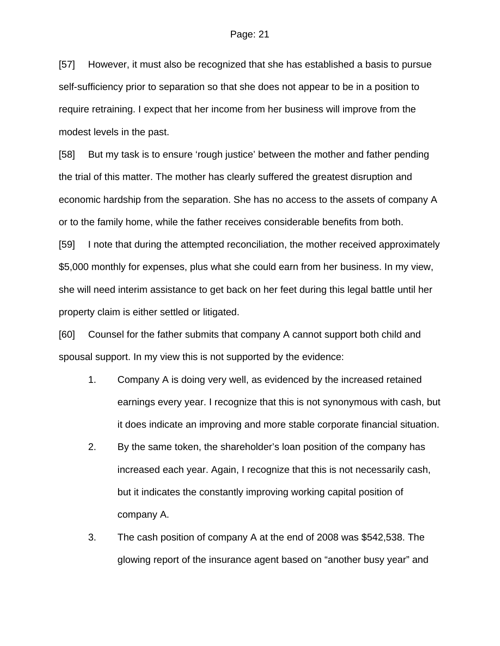[57] However, it must also be recognized that she has established a basis to pursue self-sufficiency prior to separation so that she does not appear to be in a position to require retraining. I expect that her income from her business will improve from the modest levels in the past.

[58] But my task is to ensure 'rough justice' between the mother and father pending the trial of this matter. The mother has clearly suffered the greatest disruption and economic hardship from the separation. She has no access to the assets of company A or to the family home, while the father receives considerable benefits from both.

[59] I note that during the attempted reconciliation, the mother received approximately \$5,000 monthly for expenses, plus what she could earn from her business. In my view, she will need interim assistance to get back on her feet during this legal battle until her property claim is either settled or litigated.

[60] Counsel for the father submits that company A cannot support both child and spousal support. In my view this is not supported by the evidence:

- 1. Company A is doing very well, as evidenced by the increased retained earnings every year. I recognize that this is not synonymous with cash, but it does indicate an improving and more stable corporate financial situation.
- 2. By the same token, the shareholder's loan position of the company has increased each year. Again, I recognize that this is not necessarily cash, but it indicates the constantly improving working capital position of company A.
- 3. The cash position of company A at the end of 2008 was \$542,538. The glowing report of the insurance agent based on "another busy year" and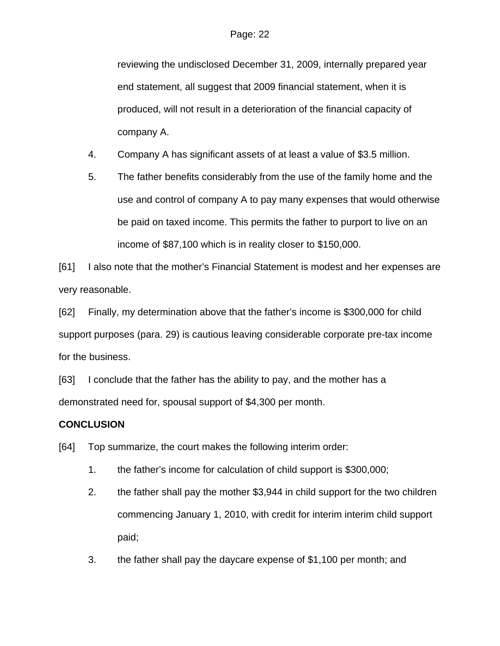reviewing the undisclosed December 31, 2009, internally prepared year end statement, all suggest that 2009 financial statement, when it is produced, will not result in a deterioration of the financial capacity of company A.

- 4. Company A has significant assets of at least a value of \$3.5 million.
- 5. The father benefits considerably from the use of the family home and the use and control of company A to pay many expenses that would otherwise be paid on taxed income. This permits the father to purport to live on an income of \$87,100 which is in reality closer to \$150,000.

[61] I also note that the mother's Financial Statement is modest and her expenses are very reasonable.

[62] Finally, my determination above that the father's income is \$300,000 for child support purposes (para. 29) is cautious leaving considerable corporate pre-tax income for the business.

[63] I conclude that the father has the ability to pay, and the mother has a demonstrated need for, spousal support of \$4,300 per month.

# **CONCLUSION**

[64] Top summarize, the court makes the following interim order:

- 1. the father's income for calculation of child support is \$300,000;
- 2. the father shall pay the mother \$3,944 in child support for the two children commencing January 1, 2010, with credit for interim interim child support paid;
- 3. the father shall pay the daycare expense of \$1,100 per month; and